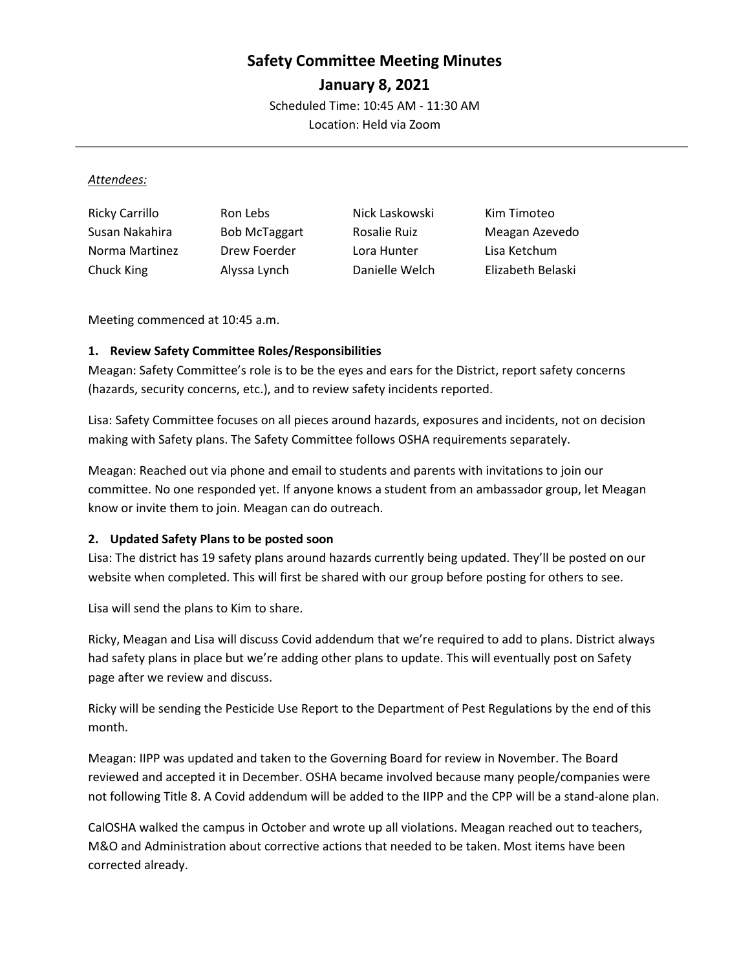# **Safety Committee Meeting Minutes**

**January 8, 2021**

Scheduled Time: 10:45 AM - 11:30 AM

Location: Held via Zoom

#### *Attendees:*

| <b>Ricky Carrillo</b> | Ron Lebs             | Nick Laskowski | Kim Timoteo       |
|-----------------------|----------------------|----------------|-------------------|
| Susan Nakahira        | <b>Bob McTaggart</b> | Rosalie Ruiz   | Meagan Azevedo    |
| Norma Martinez        | Drew Foerder         | Lora Hunter    | Lisa Ketchum      |
| Chuck King            | Alyssa Lynch         | Danielle Welch | Elizabeth Belaski |

Meeting commenced at 10:45 a.m.

## **1. Review Safety Committee Roles/Responsibilities**

Meagan: Safety Committee's role is to be the eyes and ears for the District, report safety concerns (hazards, security concerns, etc.), and to review safety incidents reported.

Lisa: Safety Committee focuses on all pieces around hazards, exposures and incidents, not on decision making with Safety plans. The Safety Committee follows OSHA requirements separately.

Meagan: Reached out via phone and email to students and parents with invitations to join our committee. No one responded yet. If anyone knows a student from an ambassador group, let Meagan know or invite them to join. Meagan can do outreach.

## **2. Updated Safety Plans to be posted soon**

Lisa: The district has 19 safety plans around hazards currently being updated. They'll be posted on our website when completed. This will first be shared with our group before posting for others to see.

Lisa will send the plans to Kim to share.

Ricky, Meagan and Lisa will discuss Covid addendum that we're required to add to plans. District always had safety plans in place but we're adding other plans to update. This will eventually post on Safety page after we review and discuss.

Ricky will be sending the Pesticide Use Report to the Department of Pest Regulations by the end of this month.

Meagan: IIPP was updated and taken to the Governing Board for review in November. The Board reviewed and accepted it in December. OSHA became involved because many people/companies were not following Title 8. A Covid addendum will be added to the IIPP and the CPP will be a stand-alone plan.

CalOSHA walked the campus in October and wrote up all violations. Meagan reached out to teachers, M&O and Administration about corrective actions that needed to be taken. Most items have been corrected already.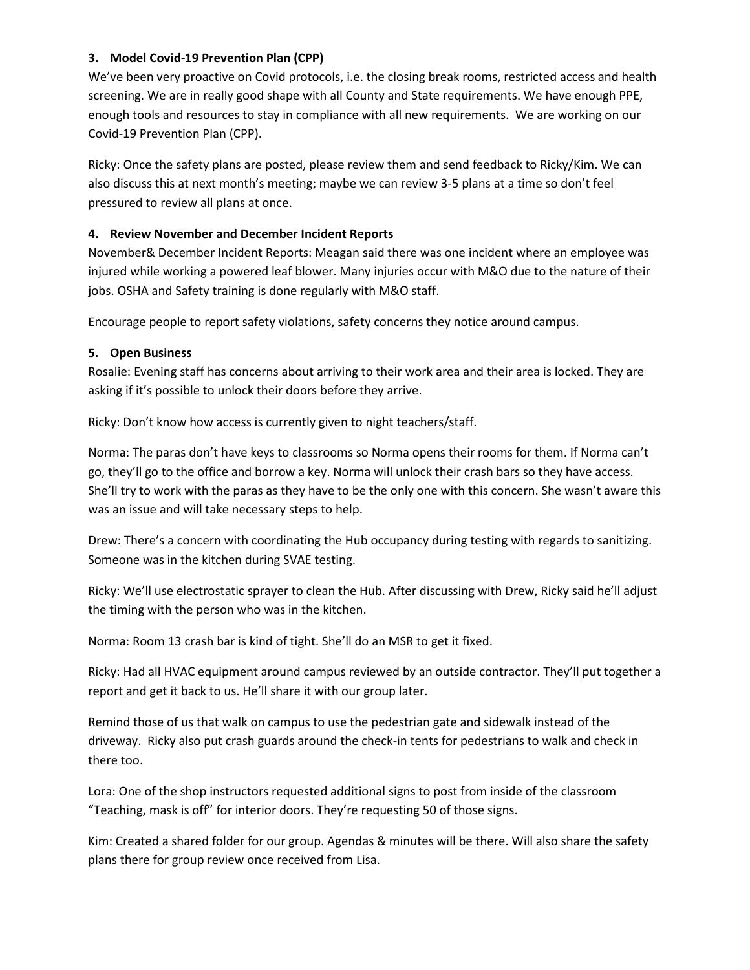### **3. Model Covid-19 Prevention Plan (CPP)**

We've been very proactive on Covid protocols, i.e. the closing break rooms, restricted access and health screening. We are in really good shape with all County and State requirements. We have enough PPE, enough tools and resources to stay in compliance with all new requirements. We are working on our Covid-19 Prevention Plan (CPP).

Ricky: Once the safety plans are posted, please review them and send feedback to Ricky/Kim. We can also discuss this at next month's meeting; maybe we can review 3-5 plans at a time so don't feel pressured to review all plans at once.

### **4. Review November and December Incident Reports**

November& December Incident Reports: Meagan said there was one incident where an employee was injured while working a powered leaf blower. Many injuries occur with M&O due to the nature of their jobs. OSHA and Safety training is done regularly with M&O staff.

Encourage people to report safety violations, safety concerns they notice around campus.

### **5. Open Business**

Rosalie: Evening staff has concerns about arriving to their work area and their area is locked. They are asking if it's possible to unlock their doors before they arrive.

Ricky: Don't know how access is currently given to night teachers/staff.

Norma: The paras don't have keys to classrooms so Norma opens their rooms for them. If Norma can't go, they'll go to the office and borrow a key. Norma will unlock their crash bars so they have access. She'll try to work with the paras as they have to be the only one with this concern. She wasn't aware this was an issue and will take necessary steps to help.

Drew: There's a concern with coordinating the Hub occupancy during testing with regards to sanitizing. Someone was in the kitchen during SVAE testing.

Ricky: We'll use electrostatic sprayer to clean the Hub. After discussing with Drew, Ricky said he'll adjust the timing with the person who was in the kitchen.

Norma: Room 13 crash bar is kind of tight. She'll do an MSR to get it fixed.

Ricky: Had all HVAC equipment around campus reviewed by an outside contractor. They'll put together a report and get it back to us. He'll share it with our group later.

Remind those of us that walk on campus to use the pedestrian gate and sidewalk instead of the driveway. Ricky also put crash guards around the check-in tents for pedestrians to walk and check in there too.

Lora: One of the shop instructors requested additional signs to post from inside of the classroom "Teaching, mask is off" for interior doors. They're requesting 50 of those signs.

Kim: Created a shared folder for our group. Agendas & minutes will be there. Will also share the safety plans there for group review once received from Lisa.